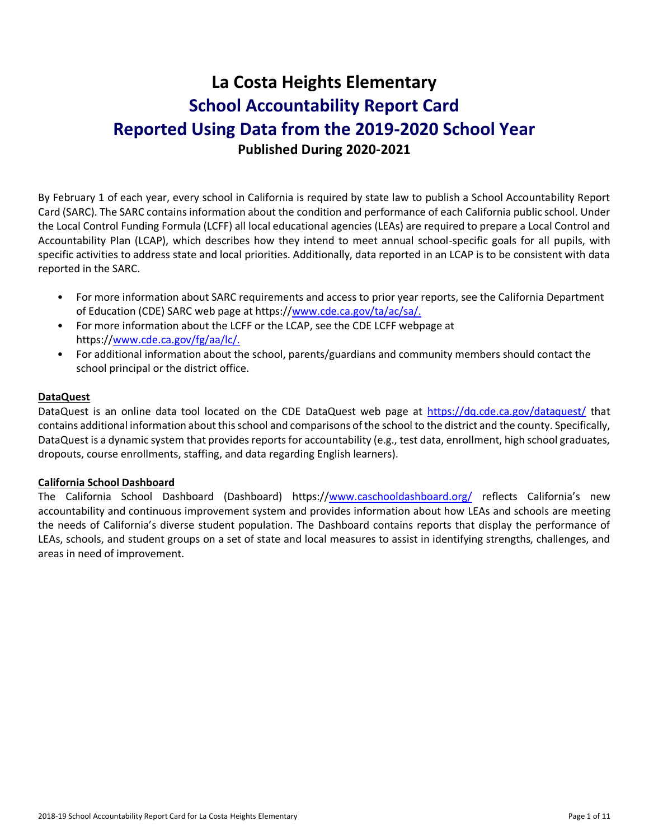# **La Costa Heights Elementary School Accountability Report Card Reported Using Data from the 2019-2020 School Year Published During 2020-2021**

By February 1 of each year, every school in California is required by state law to publish a School Accountability Report Card (SARC). The SARC contains information about the condition and performance of each California public school. Under the Local Control Funding Formula (LCFF) all local educational agencies (LEAs) are required to prepare a Local Control and Accountability Plan (LCAP), which describes how they intend to meet annual school-specific goals for all pupils, with specific activities to address state and local priorities. Additionally, data reported in an LCAP is to be consistent with data reported in the SARC.

- For more information about SARC requirements and access to prior year reports, see the California Department of Education (CDE) SARC web page at https:/[/www.cde.ca.gov/ta/ac/sa/.](https://www.cde.ca.gov/ta/ac/sa/)
- For more information about the LCFF or the LCAP, see the CDE LCFF webpage at https:/[/www.cde.ca.gov/fg/aa/lc/.](https://www.cde.ca.gov/fg/aa/lc/)
- For additional information about the school, parents/guardians and community members should contact the school principal or the district office.

### **DataQuest**

DataQuest is an online data tool located on the CDE DataQuest web page at<https://dq.cde.ca.gov/dataquest/> that contains additional information about this school and comparisons of the school to the district and the county. Specifically, DataQuest is a dynamic system that provides reports for accountability (e.g., test data, enrollment, high school graduates, dropouts, course enrollments, staffing, and data regarding English learners).

### **California School Dashboard**

The California School Dashboard (Dashboard) https:/[/www.caschooldashboard.org/](https://www.caschooldashboard.org/) reflects California's new accountability and continuous improvement system and provides information about how LEAs and schools are meeting the needs of California's diverse student population. The Dashboard contains reports that display the performance of LEAs, schools, and student groups on a set of state and local measures to assist in identifying strengths, challenges, and areas in need of improvement.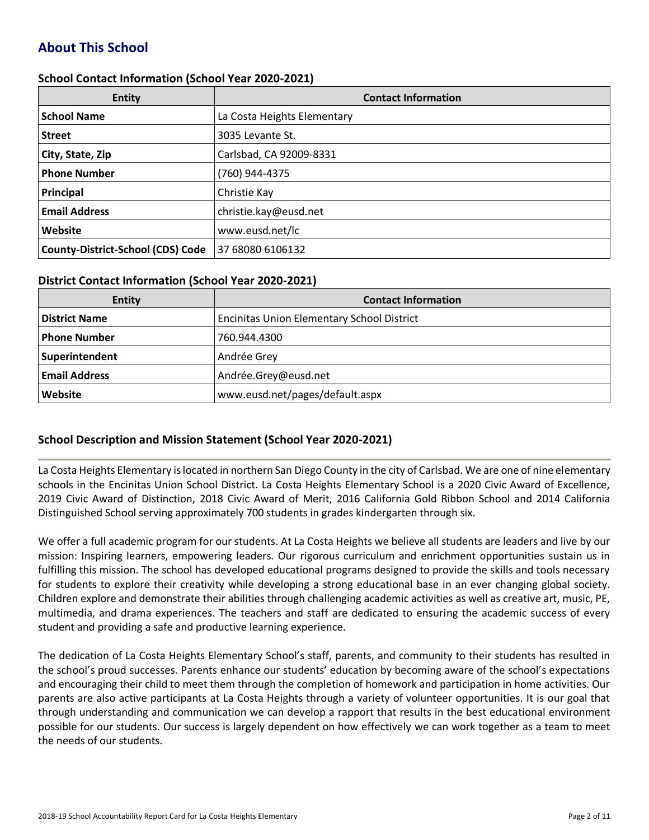# **About This School**

### **School Contact Information (School Year 2020-2021)**

| <b>Entity</b>                            | <b>Contact Information</b>  |
|------------------------------------------|-----------------------------|
| <b>School Name</b>                       | La Costa Heights Elementary |
| <b>Street</b>                            | 3035 Levante St.            |
| City, State, Zip                         | Carlsbad, CA 92009-8331     |
| <b>Phone Number</b>                      | (760) 944-4375              |
| Principal                                | Christie Kay                |
| <b>Email Address</b>                     | christie.kay@eusd.net       |
| Website                                  | www.eusd.net/lc             |
| <b>County-District-School (CDS) Code</b> | 37 68080 6106132            |

### **District Contact Information (School Year 2020-2021)**

| <b>Entity</b>        | <b>Contact Information</b>                        |  |  |  |  |
|----------------------|---------------------------------------------------|--|--|--|--|
| <b>District Name</b> | <b>Encinitas Union Elementary School District</b> |  |  |  |  |
| <b>Phone Number</b>  | 760.944.4300                                      |  |  |  |  |
| Superintendent       | Andrée Grey                                       |  |  |  |  |
| <b>Email Address</b> | Andrée.Grey@eusd.net                              |  |  |  |  |
| Website              | www.eusd.net/pages/default.aspx                   |  |  |  |  |

### **School Description and Mission Statement (School Year 2020-2021)**

La Costa Heights Elementary is located in northern San Diego County in the city of Carlsbad. We are one of nine elementary schools in the Encinitas Union School District. La Costa Heights Elementary School is a 2020 Civic Award of Excellence, 2019 Civic Award of Distinction, 2018 Civic Award of Merit, 2016 California Gold Ribbon School and 2014 California Distinguished School serving approximately 700 students in grades kindergarten through six.

We offer a full academic program for our students. At La Costa Heights we believe all students are leaders and live by our mission: Inspiring learners, empowering leaders. Our rigorous curriculum and enrichment opportunities sustain us in fulfilling this mission. The school has developed educational programs designed to provide the skills and tools necessary for students to explore their creativity while developing a strong educational base in an ever changing global society. Children explore and demonstrate their abilities through challenging academic activities as well as creative art, music, PE, multimedia, and drama experiences. The teachers and staff are dedicated to ensuring the academic success of every student and providing a safe and productive learning experience.

The dedication of La Costa Heights Elementary School's staff, parents, and community to their students has resulted in the school's proud successes. Parents enhance our students' education by becoming aware of the school's expectations and encouraging their child to meet them through the completion of homework and participation in home activities. Our parents are also active participants at La Costa Heights through a variety of volunteer opportunities. It is our goal that through understanding and communication we can develop a rapport that results in the best educational environment possible for our students. Our success is largely dependent on how effectively we can work together as a team to meet the needs of our students.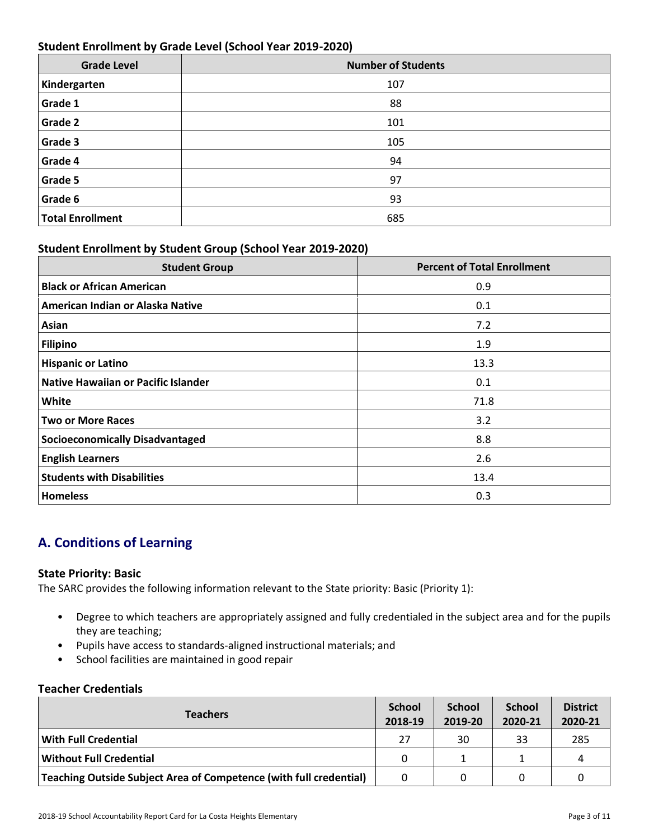### **Student Enrollment by Grade Level (School Year 2019-2020)**

| <b>Grade Level</b>      | <b>Number of Students</b> |
|-------------------------|---------------------------|
| Kindergarten            | 107                       |
| Grade 1                 | 88                        |
| Grade 2                 | 101                       |
| Grade 3                 | 105                       |
| Grade 4                 | 94                        |
| Grade 5                 | 97                        |
| Grade 6                 | 93                        |
| <b>Total Enrollment</b> | 685                       |

### **Student Enrollment by Student Group (School Year 2019-2020)**

| <b>Student Group</b>                       | <b>Percent of Total Enrollment</b> |
|--------------------------------------------|------------------------------------|
| <b>Black or African American</b>           | 0.9                                |
| American Indian or Alaska Native           | 0.1                                |
| Asian                                      | 7.2                                |
| <b>Filipino</b>                            | 1.9                                |
| <b>Hispanic or Latino</b>                  | 13.3                               |
| <b>Native Hawaiian or Pacific Islander</b> | 0.1                                |
| White                                      | 71.8                               |
| <b>Two or More Races</b>                   | 3.2                                |
| <b>Socioeconomically Disadvantaged</b>     | 8.8                                |
| <b>English Learners</b>                    | 2.6                                |
| <b>Students with Disabilities</b>          | 13.4                               |
| <b>Homeless</b>                            | 0.3                                |

# **A. Conditions of Learning**

### **State Priority: Basic**

The SARC provides the following information relevant to the State priority: Basic (Priority 1):

- Degree to which teachers are appropriately assigned and fully credentialed in the subject area and for the pupils they are teaching;
- Pupils have access to standards-aligned instructional materials; and
- School facilities are maintained in good repair

### **Teacher Credentials**

| <b>Teachers</b>                                                    |          | <b>School</b><br>2019-20 | <b>School</b><br>2020-21 | <b>District</b><br>2020-21 |
|--------------------------------------------------------------------|----------|--------------------------|--------------------------|----------------------------|
| With Full Credential                                               | 27       | 30                       | 33                       | 285                        |
| Without Full Credential                                            | $\Omega$ |                          |                          | Д                          |
| Teaching Outside Subject Area of Competence (with full credential) |          |                          |                          |                            |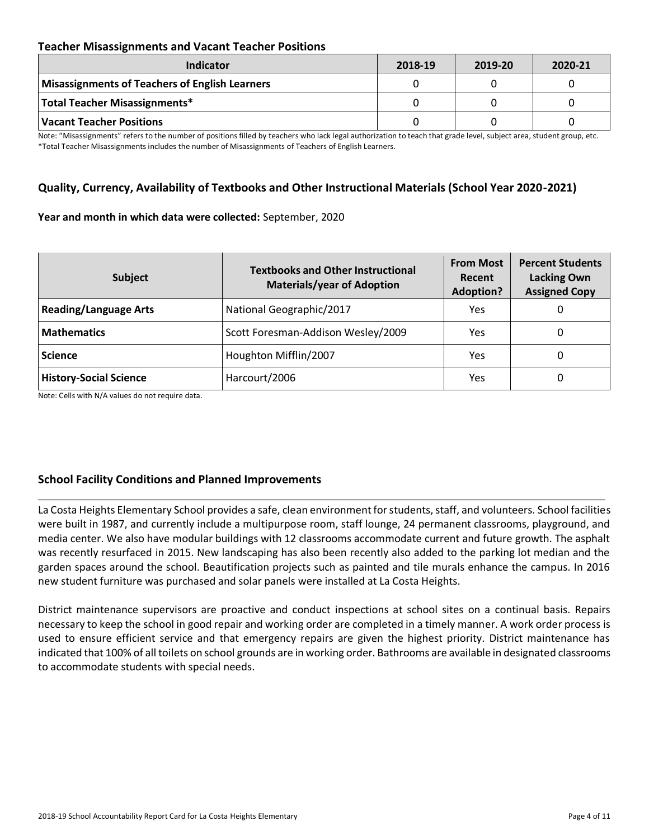### **Teacher Misassignments and Vacant Teacher Positions**

| Indicator                                      | 2018-19 | 2019-20 | 2020-21 |
|------------------------------------------------|---------|---------|---------|
| Misassignments of Teachers of English Learners |         |         |         |
| Total Teacher Misassignments*                  |         |         |         |
| Vacant Teacher Positions                       |         |         |         |

Note: "Misassignments" refers to the number of positions filled by teachers who lack legal authorization to teach that grade level, subject area, student group, etc. \*Total Teacher Misassignments includes the number of Misassignments of Teachers of English Learners.

### **Quality, Currency, Availability of Textbooks and Other Instructional Materials (School Year 2020-2021)**

#### **Year and month in which data were collected:** September, 2020

| Subject                       | <b>Textbooks and Other Instructional</b><br><b>Materials/year of Adoption</b> | <b>From Most</b><br>Recent<br><b>Adoption?</b> | <b>Percent Students</b><br><b>Lacking Own</b><br><b>Assigned Copy</b> |
|-------------------------------|-------------------------------------------------------------------------------|------------------------------------------------|-----------------------------------------------------------------------|
| <b>Reading/Language Arts</b>  | National Geographic/2017                                                      | Yes                                            | O                                                                     |
| <b>Mathematics</b>            | Scott Foresman-Addison Wesley/2009                                            | Yes                                            | 0                                                                     |
| <b>Science</b>                | Houghton Mifflin/2007                                                         | Yes                                            | 0                                                                     |
| <b>History-Social Science</b> | Harcourt/2006                                                                 | Yes                                            | 0                                                                     |

Note: Cells with N/A values do not require data.

### **School Facility Conditions and Planned Improvements**

La Costa Heights Elementary School provides a safe, clean environment for students, staff, and volunteers. School facilities were built in 1987, and currently include a multipurpose room, staff lounge, 24 permanent classrooms, playground, and media center. We also have modular buildings with 12 classrooms accommodate current and future growth. The asphalt was recently resurfaced in 2015. New landscaping has also been recently also added to the parking lot median and the garden spaces around the school. Beautification projects such as painted and tile murals enhance the campus. In 2016 new student furniture was purchased and solar panels were installed at La Costa Heights.

District maintenance supervisors are proactive and conduct inspections at school sites on a continual basis. Repairs necessary to keep the school in good repair and working order are completed in a timely manner. A work order process is used to ensure efficient service and that emergency repairs are given the highest priority. District maintenance has indicated that 100% of all toilets on school grounds are in working order. Bathrooms are available in designated classrooms to accommodate students with special needs.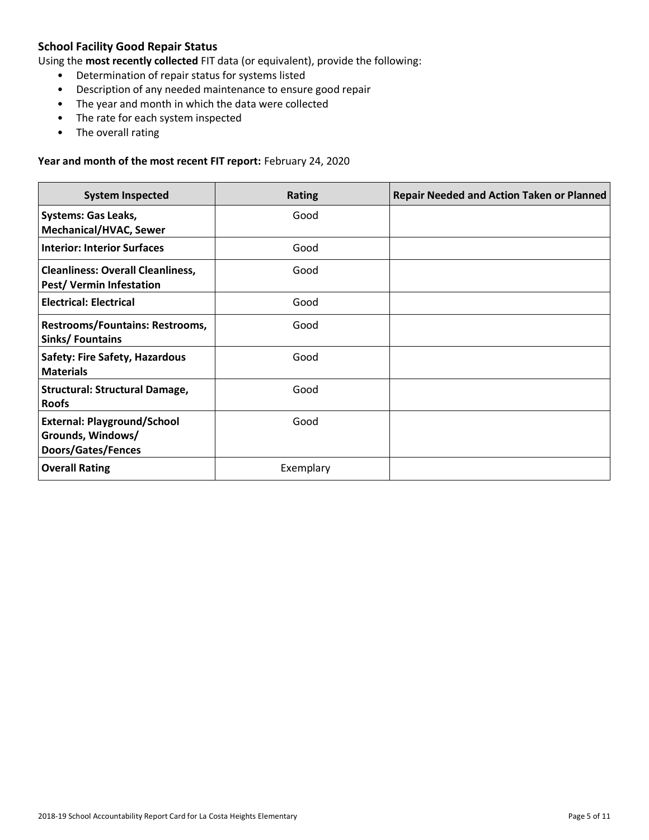### **School Facility Good Repair Status**

Using the **most recently collected** FIT data (or equivalent), provide the following:

- Determination of repair status for systems listed
- Description of any needed maintenance to ensure good repair
- The year and month in which the data were collected
- The rate for each system inspected
- The overall rating

#### **Year and month of the most recent FIT report:** February 24, 2020

| <b>System Inspected</b>                                                       | <b>Rating</b> | <b>Repair Needed and Action Taken or Planned</b> |
|-------------------------------------------------------------------------------|---------------|--------------------------------------------------|
| <b>Systems: Gas Leaks,</b><br><b>Mechanical/HVAC, Sewer</b>                   | Good          |                                                  |
| <b>Interior: Interior Surfaces</b>                                            | Good          |                                                  |
| <b>Cleanliness: Overall Cleanliness,</b><br><b>Pest/ Vermin Infestation</b>   | Good          |                                                  |
| <b>Electrical: Electrical</b>                                                 | Good          |                                                  |
| Restrooms/Fountains: Restrooms,<br>Sinks/Fountains                            | Good          |                                                  |
| <b>Safety: Fire Safety, Hazardous</b><br><b>Materials</b>                     | Good          |                                                  |
| <b>Structural: Structural Damage,</b><br><b>Roofs</b>                         | Good          |                                                  |
| <b>External: Playground/School</b><br>Grounds, Windows/<br>Doors/Gates/Fences | Good          |                                                  |
| <b>Overall Rating</b>                                                         | Exemplary     |                                                  |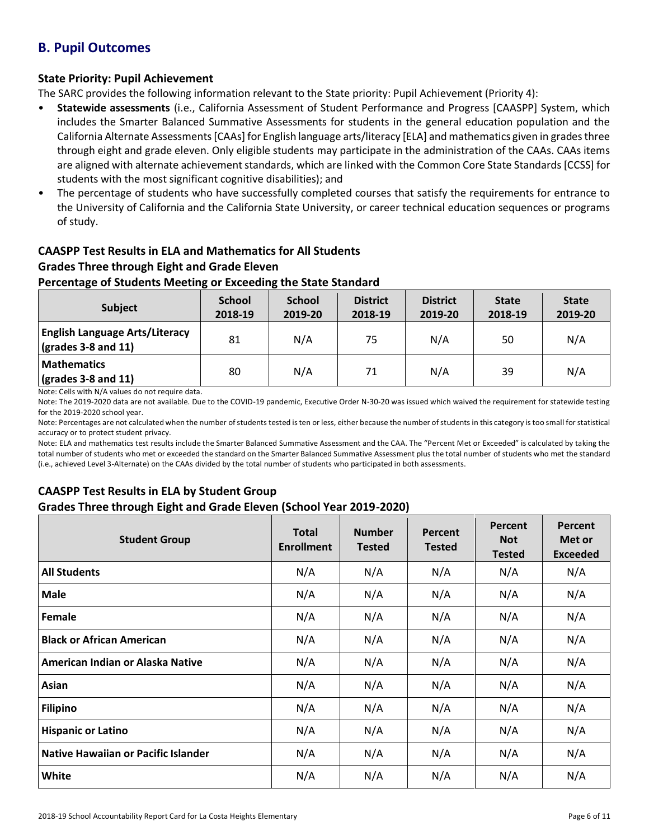# **B. Pupil Outcomes**

### **State Priority: Pupil Achievement**

The SARC provides the following information relevant to the State priority: Pupil Achievement (Priority 4):

- **Statewide assessments** (i.e., California Assessment of Student Performance and Progress [CAASPP] System, which includes the Smarter Balanced Summative Assessments for students in the general education population and the California Alternate Assessments [CAAs] for English language arts/literacy [ELA] and mathematics given in grades three through eight and grade eleven. Only eligible students may participate in the administration of the CAAs. CAAs items are aligned with alternate achievement standards, which are linked with the Common Core State Standards [CCSS] for students with the most significant cognitive disabilities); and
- The percentage of students who have successfully completed courses that satisfy the requirements for entrance to the University of California and the California State University, or career technical education sequences or programs of study.

## **CAASPP Test Results in ELA and Mathematics for All Students Grades Three through Eight and Grade Eleven**

### **Percentage of Students Meeting or Exceeding the State Standard**

| <b>Subject</b>                                                       | <b>School</b><br>2018-19 | <b>School</b><br>2019-20 | <b>District</b><br>2018-19 | <b>District</b><br>2019-20 | <b>State</b><br>2018-19 | <b>State</b><br>2019-20 |
|----------------------------------------------------------------------|--------------------------|--------------------------|----------------------------|----------------------------|-------------------------|-------------------------|
| <b>English Language Arts/Literacy</b><br>$\vert$ (grades 3-8 and 11) | 81                       | N/A                      | 75                         | N/A                        | 50                      | N/A                     |
| <b>Mathematics</b><br>$\sqrt{\frac{1}{2}}$ (grades 3-8 and 11)       | 80                       | N/A                      | 71                         | N/A                        | 39                      | N/A                     |

Note: Cells with N/A values do not require data.

Note: The 2019-2020 data are not available. Due to the COVID-19 pandemic, Executive Order N-30-20 was issued which waived the requirement for statewide testing for the 2019-2020 school year.

Note: Percentages are not calculated when the number of students tested is ten or less, either because the number of students in this category is too small for statistical accuracy or to protect student privacy.

Note: ELA and mathematics test results include the Smarter Balanced Summative Assessment and the CAA. The "Percent Met or Exceeded" is calculated by taking the total number of students who met or exceeded the standard on the Smarter Balanced Summative Assessment plus the total number of students who met the standard (i.e., achieved Level 3-Alternate) on the CAAs divided by the total number of students who participated in both assessments.

### **CAASPP Test Results in ELA by Student Group**

### **Grades Three through Eight and Grade Eleven (School Year 2019-2020)**

| <b>Student Group</b>                | <b>Total</b><br><b>Enrollment</b> | <b>Number</b><br><b>Tested</b> | Percent<br><b>Tested</b> | Percent<br><b>Not</b><br><b>Tested</b> | Percent<br>Met or<br><b>Exceeded</b> |
|-------------------------------------|-----------------------------------|--------------------------------|--------------------------|----------------------------------------|--------------------------------------|
| <b>All Students</b>                 | N/A                               | N/A                            | N/A                      | N/A                                    | N/A                                  |
| <b>Male</b>                         | N/A                               | N/A                            | N/A                      | N/A                                    | N/A                                  |
| Female                              | N/A                               | N/A                            | N/A                      | N/A                                    | N/A                                  |
| <b>Black or African American</b>    | N/A                               | N/A                            | N/A                      | N/A                                    | N/A                                  |
| American Indian or Alaska Native    | N/A                               | N/A                            | N/A                      | N/A                                    | N/A                                  |
| Asian                               | N/A                               | N/A                            | N/A                      | N/A                                    | N/A                                  |
| <b>Filipino</b>                     | N/A                               | N/A                            | N/A                      | N/A                                    | N/A                                  |
| <b>Hispanic or Latino</b>           | N/A                               | N/A                            | N/A                      | N/A                                    | N/A                                  |
| Native Hawaiian or Pacific Islander | N/A                               | N/A                            | N/A                      | N/A                                    | N/A                                  |
| White                               | N/A                               | N/A                            | N/A                      | N/A                                    | N/A                                  |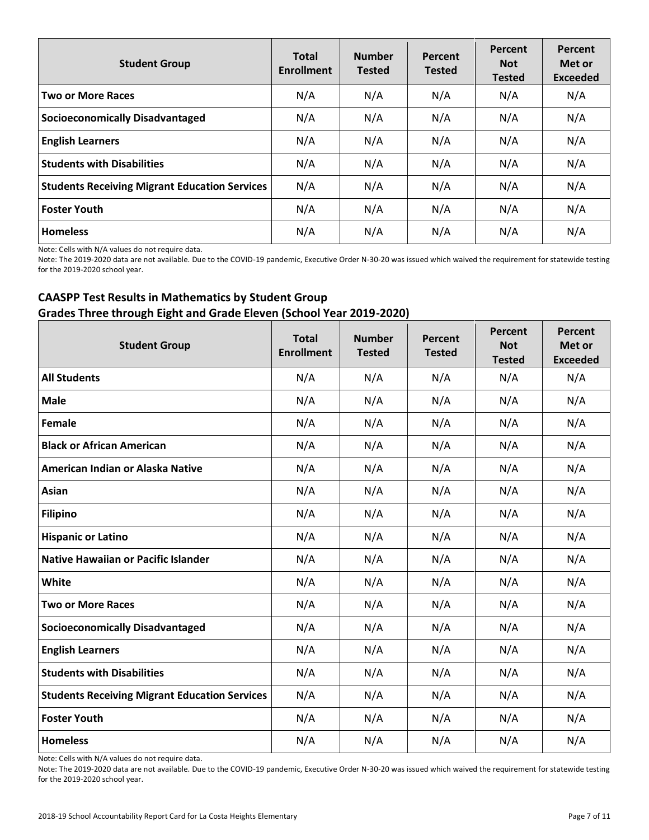| <b>Student Group</b>                                 | <b>Total</b><br><b>Enrollment</b> | <b>Number</b><br><b>Tested</b> | Percent<br><b>Tested</b> | Percent<br><b>Not</b><br><b>Tested</b> | Percent<br>Met or<br><b>Exceeded</b> |
|------------------------------------------------------|-----------------------------------|--------------------------------|--------------------------|----------------------------------------|--------------------------------------|
| <b>Two or More Races</b>                             | N/A                               | N/A                            | N/A                      | N/A                                    | N/A                                  |
| <b>Socioeconomically Disadvantaged</b>               | N/A                               | N/A                            | N/A                      | N/A                                    | N/A                                  |
| <b>English Learners</b>                              | N/A                               | N/A                            | N/A                      | N/A                                    | N/A                                  |
| <b>Students with Disabilities</b>                    | N/A                               | N/A                            | N/A                      | N/A                                    | N/A                                  |
| <b>Students Receiving Migrant Education Services</b> | N/A                               | N/A                            | N/A                      | N/A                                    | N/A                                  |
| <b>Foster Youth</b>                                  | N/A                               | N/A                            | N/A                      | N/A                                    | N/A                                  |
| <b>Homeless</b>                                      | N/A                               | N/A                            | N/A                      | N/A                                    | N/A                                  |

Note: Cells with N/A values do not require data.

Note: The 2019-2020 data are not available. Due to the COVID-19 pandemic, Executive Order N-30-20 was issued which waived the requirement for statewide testing for the 2019-2020 school year.

### **CAASPP Test Results in Mathematics by Student Group Grades Three through Eight and Grade Eleven (School Year 2019-2020)**

| <b>Student Group</b>                                 | <b>Total</b><br><b>Enrollment</b> | <b>Number</b><br><b>Tested</b> | Percent<br><b>Tested</b> | Percent<br><b>Not</b><br><b>Tested</b> | <b>Percent</b><br>Met or<br><b>Exceeded</b> |
|------------------------------------------------------|-----------------------------------|--------------------------------|--------------------------|----------------------------------------|---------------------------------------------|
| <b>All Students</b>                                  | N/A                               | N/A                            | N/A                      | N/A                                    | N/A                                         |
| <b>Male</b>                                          | N/A                               | N/A                            | N/A                      | N/A                                    | N/A                                         |
| Female                                               | N/A                               | N/A                            | N/A                      | N/A                                    | N/A                                         |
| <b>Black or African American</b>                     | N/A                               | N/A                            | N/A                      | N/A                                    | N/A                                         |
| American Indian or Alaska Native                     | N/A                               | N/A                            | N/A                      | N/A                                    | N/A                                         |
| Asian                                                | N/A                               | N/A                            | N/A                      | N/A                                    | N/A                                         |
| <b>Filipino</b>                                      | N/A                               | N/A                            | N/A                      | N/A                                    | N/A                                         |
| <b>Hispanic or Latino</b>                            | N/A                               | N/A                            | N/A                      | N/A                                    | N/A                                         |
| <b>Native Hawaiian or Pacific Islander</b>           | N/A                               | N/A                            | N/A                      | N/A                                    | N/A                                         |
| White                                                | N/A                               | N/A                            | N/A                      | N/A                                    | N/A                                         |
| <b>Two or More Races</b>                             | N/A                               | N/A                            | N/A                      | N/A                                    | N/A                                         |
| <b>Socioeconomically Disadvantaged</b>               | N/A                               | N/A                            | N/A                      | N/A                                    | N/A                                         |
| <b>English Learners</b>                              | N/A                               | N/A                            | N/A                      | N/A                                    | N/A                                         |
| <b>Students with Disabilities</b>                    | N/A                               | N/A                            | N/A                      | N/A                                    | N/A                                         |
| <b>Students Receiving Migrant Education Services</b> | N/A                               | N/A                            | N/A                      | N/A                                    | N/A                                         |
| <b>Foster Youth</b>                                  | N/A                               | N/A                            | N/A                      | N/A                                    | N/A                                         |
| <b>Homeless</b>                                      | N/A                               | N/A                            | N/A                      | N/A                                    | N/A                                         |

Note: Cells with N/A values do not require data.

Note: The 2019-2020 data are not available. Due to the COVID-19 pandemic, Executive Order N-30-20 was issued which waived the requirement for statewide testing for the 2019-2020 school year.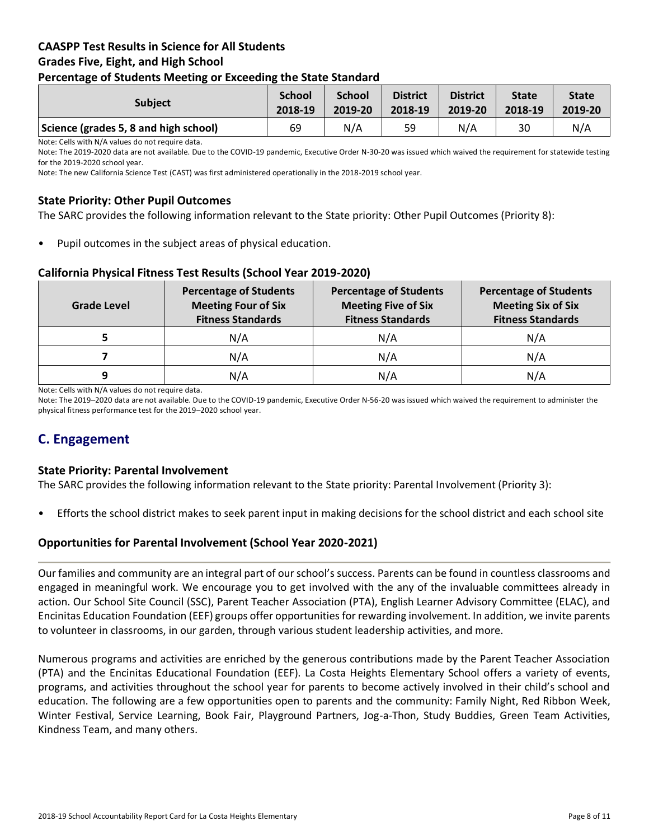### **CAASPP Test Results in Science for All Students Grades Five, Eight, and High School Percentage of Students Meeting or Exceeding the State Standard**

| . .<br>-                              | --                       |                          |                            |                            |                         |                         |
|---------------------------------------|--------------------------|--------------------------|----------------------------|----------------------------|-------------------------|-------------------------|
| <b>Subject</b>                        | <b>School</b><br>2018-19 | <b>School</b><br>2019-20 | <b>District</b><br>2018-19 | <b>District</b><br>2019-20 | <b>State</b><br>2018-19 | <b>State</b><br>2019-20 |
| Science (grades 5, 8 and high school) | 69                       | N/A                      | 59                         | N/A                        | 30                      | N/A                     |

Note: Cells with N/A values do not require data.

Note: The 2019-2020 data are not available. Due to the COVID-19 pandemic, Executive Order N-30-20 was issued which waived the requirement for statewide testing for the 2019-2020 school year.

Note: The new California Science Test (CAST) was first administered operationally in the 2018-2019 school year.

### **State Priority: Other Pupil Outcomes**

The SARC provides the following information relevant to the State priority: Other Pupil Outcomes (Priority 8):

Pupil outcomes in the subject areas of physical education.

### **California Physical Fitness Test Results (School Year 2019-2020)**

| <b>Grade Level</b> | <b>Percentage of Students</b><br><b>Meeting Four of Six</b><br><b>Fitness Standards</b> |     | <b>Percentage of Students</b><br><b>Meeting Six of Six</b><br><b>Fitness Standards</b> |  |
|--------------------|-----------------------------------------------------------------------------------------|-----|----------------------------------------------------------------------------------------|--|
|                    | N/A                                                                                     | N/A | N/A                                                                                    |  |
|                    | N/A                                                                                     | N/A | N/A                                                                                    |  |
| 9                  | N/A                                                                                     | N/A | N/A                                                                                    |  |

Note: Cells with N/A values do not require data.

Note: The 2019–2020 data are not available. Due to the COVID-19 pandemic, Executive Order N-56-20 was issued which waived the requirement to administer the physical fitness performance test for the 2019–2020 school year.

# **C. Engagement**

### **State Priority: Parental Involvement**

The SARC provides the following information relevant to the State priority: Parental Involvement (Priority 3):

• Efforts the school district makes to seek parent input in making decisions for the school district and each school site

### **Opportunities for Parental Involvement (School Year 2020-2021)**

Our families and community are an integral part of our school's success. Parents can be found in countless classrooms and engaged in meaningful work. We encourage you to get involved with the any of the invaluable committees already in action. Our School Site Council (SSC), Parent Teacher Association (PTA), English Learner Advisory Committee (ELAC), and Encinitas Education Foundation (EEF) groups offer opportunities for rewarding involvement. In addition, we invite parents to volunteer in classrooms, in our garden, through various student leadership activities, and more.

Numerous programs and activities are enriched by the generous contributions made by the Parent Teacher Association (PTA) and the Encinitas Educational Foundation (EEF). La Costa Heights Elementary School offers a variety of events, programs, and activities throughout the school year for parents to become actively involved in their child's school and education. The following are a few opportunities open to parents and the community: Family Night, Red Ribbon Week, Winter Festival, Service Learning, Book Fair, Playground Partners, Jog-a-Thon, Study Buddies, Green Team Activities, Kindness Team, and many others.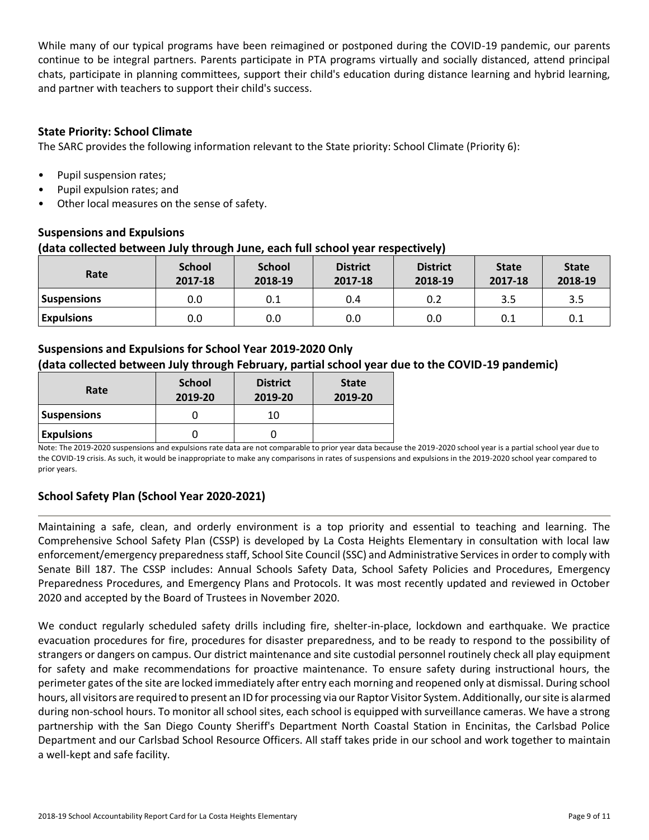While many of our typical programs have been reimagined or postponed during the COVID-19 pandemic, our parents continue to be integral partners. Parents participate in PTA programs virtually and socially distanced, attend principal chats, participate in planning committees, support their child's education during distance learning and hybrid learning, and partner with teachers to support their child's success.

### **State Priority: School Climate**

The SARC provides the following information relevant to the State priority: School Climate (Priority 6):

- Pupil suspension rates;
- Pupil expulsion rates; and
- Other local measures on the sense of safety.

### **Suspensions and Expulsions**

### **(data collected between July through June, each full school year respectively)**

| Rate               | <b>School</b><br>2017-18 | <b>School</b><br>2018-19 | <b>District</b><br>2017-18 | <b>District</b><br>2018-19 | <b>State</b><br>2017-18 | <b>State</b><br>2018-19 |
|--------------------|--------------------------|--------------------------|----------------------------|----------------------------|-------------------------|-------------------------|
| <b>Suspensions</b> | 0.0                      | 0.1                      | 0.4                        | 0.2                        | 3.5                     | 3.5                     |
| <b>Expulsions</b>  | 0.0                      | 0.0                      | 0.0                        | 0.0                        | 0.1                     | 0.1                     |

### **Suspensions and Expulsions for School Year 2019-2020 Only (data collected between July through February, partial school year due to the COVID-19 pandemic)**

| Rate               | <b>School</b><br>2019-20 | <b>District</b><br>2019-20 | <b>State</b><br>2019-20 |
|--------------------|--------------------------|----------------------------|-------------------------|
| <b>Suspensions</b> |                          | 10                         |                         |
| <b>Expulsions</b>  |                          |                            |                         |

Note: The 2019-2020 suspensions and expulsions rate data are not comparable to prior year data because the 2019-2020 school year is a partial school year due to the COVID-19 crisis. As such, it would be inappropriate to make any comparisons in rates of suspensions and expulsions in the 2019-2020 school year compared to prior years.

### **School Safety Plan (School Year 2020-2021)**

Maintaining a safe, clean, and orderly environment is a top priority and essential to teaching and learning. The Comprehensive School Safety Plan (CSSP) is developed by La Costa Heights Elementary in consultation with local law enforcement/emergency preparedness staff, School Site Council (SSC) and Administrative Services in order to comply with Senate Bill 187. The CSSP includes: Annual Schools Safety Data, School Safety Policies and Procedures, Emergency Preparedness Procedures, and Emergency Plans and Protocols. It was most recently updated and reviewed in October 2020 and accepted by the Board of Trustees in November 2020.

We conduct regularly scheduled safety drills including fire, shelter-in-place, lockdown and earthquake. We practice evacuation procedures for fire, procedures for disaster preparedness, and to be ready to respond to the possibility of strangers or dangers on campus. Our district maintenance and site custodial personnel routinely check all play equipment for safety and make recommendations for proactive maintenance. To ensure safety during instructional hours, the perimeter gates of the site are locked immediately after entry each morning and reopened only at dismissal. During school hours, all visitors are required to present an ID for processing via our Raptor Visitor System. Additionally, our site is alarmed during non-school hours. To monitor all school sites, each school is equipped with surveillance cameras. We have a strong partnership with the San Diego County Sheriff's Department North Coastal Station in Encinitas, the Carlsbad Police Department and our Carlsbad School Resource Officers. All staff takes pride in our school and work together to maintain a well-kept and safe facility.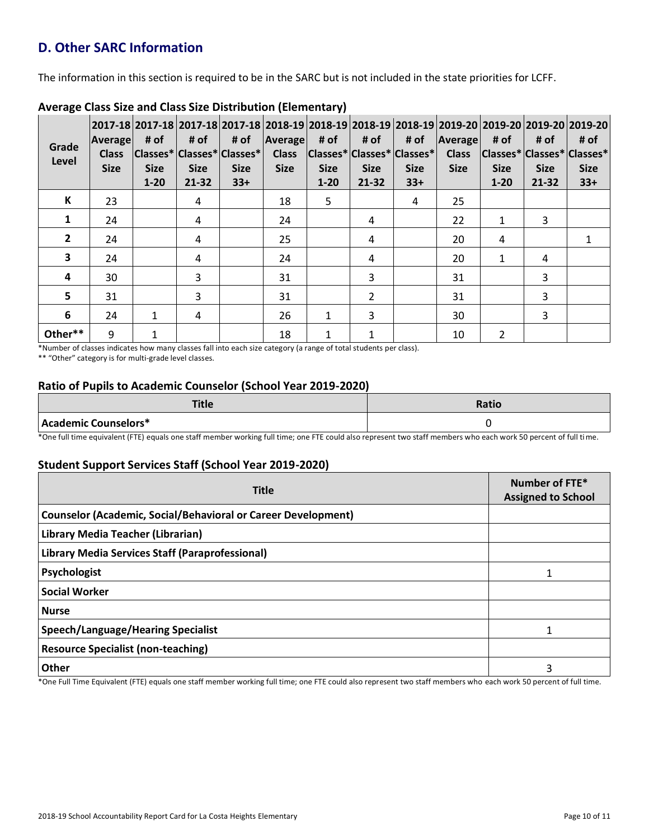# **D. Other SARC Information**

The information in this section is required to be in the SARC but is not included in the state priorities for LCFF.

| Grade<br>Level | <b>Average</b><br><b>Class</b><br><b>Size</b> | 2017-18 2017-18 2017-18 2017-18 2018-19 2018-19 2018-19 2018-19 2019-20 2019-20 2019-20 2019-20 2019-20 <br># of<br> Classes* Classes* Classes* <br><b>Size</b><br>$1 - 20$ | # of<br><b>Size</b><br>$21 - 32$ | # of<br><b>Size</b><br>$33+$ | Average<br><b>Class</b><br><b>Size</b> | # of<br>$ Classes^* Classes^* Classes^* $<br><b>Size</b><br>$1 - 20$ | # of<br><b>Size</b><br>$21 - 32$ | # of<br><b>Size</b><br>$33+$ | Average<br><b>Class</b><br><b>Size</b> | # of<br> Classes* Classes* Classes*<br><b>Size</b><br>$1 - 20$ | # of<br><b>Size</b><br>21-32 | # of<br><b>Size</b><br>$33+$ |
|----------------|-----------------------------------------------|-----------------------------------------------------------------------------------------------------------------------------------------------------------------------------|----------------------------------|------------------------------|----------------------------------------|----------------------------------------------------------------------|----------------------------------|------------------------------|----------------------------------------|----------------------------------------------------------------|------------------------------|------------------------------|
| К              | 23                                            |                                                                                                                                                                             | 4                                |                              | 18                                     | 5                                                                    |                                  | 4                            | 25                                     |                                                                |                              |                              |
| $\mathbf{1}$   | 24                                            |                                                                                                                                                                             | 4                                |                              | 24                                     |                                                                      | 4                                |                              | 22                                     | 1                                                              | 3                            |                              |
| $\overline{2}$ | 24                                            |                                                                                                                                                                             | 4                                |                              | 25                                     |                                                                      | 4                                |                              | 20                                     | 4                                                              |                              |                              |
| 3              | 24                                            |                                                                                                                                                                             | 4                                |                              | 24                                     |                                                                      | 4                                |                              | 20                                     | 1                                                              | 4                            |                              |
| 4              | 30                                            |                                                                                                                                                                             | 3                                |                              | 31                                     |                                                                      | 3                                |                              | 31                                     |                                                                | 3                            |                              |
| 5              | 31                                            |                                                                                                                                                                             | 3                                |                              | 31                                     |                                                                      | $\overline{2}$                   |                              | 31                                     |                                                                | 3                            |                              |
| 6              | 24                                            | 1                                                                                                                                                                           | 4                                |                              | 26                                     | 1                                                                    | 3                                |                              | 30                                     |                                                                | 3                            |                              |
| Other**        | 9                                             | 1                                                                                                                                                                           |                                  |                              | 18                                     | 1                                                                    | $\mathbf{1}$                     |                              | 10                                     | $\overline{2}$                                                 |                              |                              |

### **Average Class Size and Class Size Distribution (Elementary)**

\*Number of classes indicates how many classes fall into each size category (a range of total students per class).

\*\* "Other" category is for multi-grade level classes.

### **Ratio of Pupils to Academic Counselor (School Year 2019-2020)**

| <b>Title</b>         | Ratio |
|----------------------|-------|
| Academic Counselors* |       |

\*One full time equivalent (FTE) equals one staff member working full time; one FTE could also represent two staff members who each work 50 percent of full time.

### **Student Support Services Staff (School Year 2019-2020)**

| <b>Title</b>                                                         | Number of FTE*<br><b>Assigned to School</b> |  |  |
|----------------------------------------------------------------------|---------------------------------------------|--|--|
| <b>Counselor (Academic, Social/Behavioral or Career Development)</b> |                                             |  |  |
| Library Media Teacher (Librarian)                                    |                                             |  |  |
| Library Media Services Staff (Paraprofessional)                      |                                             |  |  |
| Psychologist                                                         |                                             |  |  |
| <b>Social Worker</b>                                                 |                                             |  |  |
| <b>Nurse</b>                                                         |                                             |  |  |
| Speech/Language/Hearing Specialist                                   |                                             |  |  |
| <b>Resource Specialist (non-teaching)</b>                            |                                             |  |  |
| Other                                                                | 3                                           |  |  |

\*One Full Time Equivalent (FTE) equals one staff member working full time; one FTE could also represent two staff members who each work 50 percent of full time.